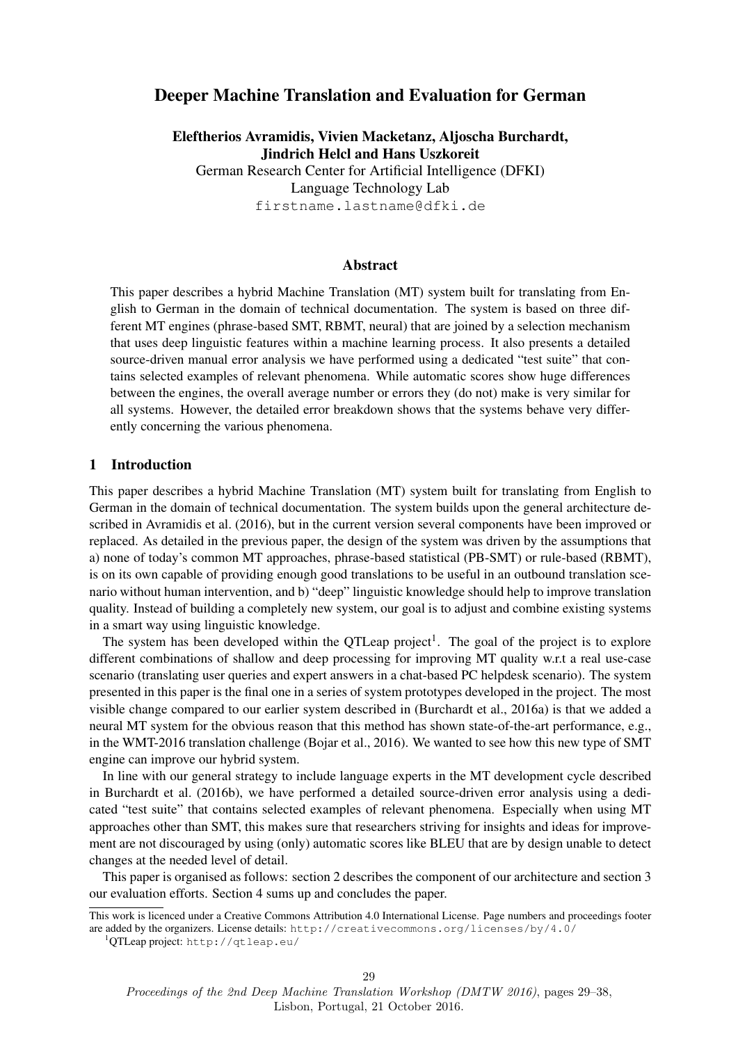# Deeper Machine Translation and Evaluation for German

Eleftherios Avramidis, Vivien Macketanz, Aljoscha Burchardt, Jindrich Helcl and Hans Uszkoreit

German Research Center for Artificial Intelligence (DFKI) Language Technology Lab firstname.lastname@dfki.de

### Abstract

This paper describes a hybrid Machine Translation (MT) system built for translating from English to German in the domain of technical documentation. The system is based on three different MT engines (phrase-based SMT, RBMT, neural) that are joined by a selection mechanism that uses deep linguistic features within a machine learning process. It also presents a detailed source-driven manual error analysis we have performed using a dedicated "test suite" that contains selected examples of relevant phenomena. While automatic scores show huge differences between the engines, the overall average number or errors they (do not) make is very similar for all systems. However, the detailed error breakdown shows that the systems behave very differently concerning the various phenomena.

### 1 Introduction

This paper describes a hybrid Machine Translation (MT) system built for translating from English to German in the domain of technical documentation. The system builds upon the general architecture described in Avramidis et al. (2016), but in the current version several components have been improved or replaced. As detailed in the previous paper, the design of the system was driven by the assumptions that a) none of today's common MT approaches, phrase-based statistical (PB-SMT) or rule-based (RBMT), is on its own capable of providing enough good translations to be useful in an outbound translation scenario without human intervention, and b) "deep" linguistic knowledge should help to improve translation quality. Instead of building a completely new system, our goal is to adjust and combine existing systems in a smart way using linguistic knowledge.

The system has been developed within the QTLeap project<sup>1</sup>. The goal of the project is to explore different combinations of shallow and deep processing for improving MT quality w.r.t a real use-case scenario (translating user queries and expert answers in a chat-based PC helpdesk scenario). The system presented in this paper is the final one in a series of system prototypes developed in the project. The most visible change compared to our earlier system described in (Burchardt et al., 2016a) is that we added a neural MT system for the obvious reason that this method has shown state-of-the-art performance, e.g., in the WMT-2016 translation challenge (Bojar et al., 2016). We wanted to see how this new type of SMT engine can improve our hybrid system.

In line with our general strategy to include language experts in the MT development cycle described in Burchardt et al. (2016b), we have performed a detailed source-driven error analysis using a dedicated "test suite" that contains selected examples of relevant phenomena. Especially when using MT approaches other than SMT, this makes sure that researchers striving for insights and ideas for improvement are not discouraged by using (only) automatic scores like BLEU that are by design unable to detect changes at the needed level of detail.

This paper is organised as follows: section 2 describes the component of our architecture and section 3 our evaluation efforts. Section 4 sums up and concludes the paper.

<sup>1</sup>QTLeap project: http://qtleap.eu/

This work is licenced under a Creative Commons Attribution 4.0 International License. Page numbers and proceedings footer are added by the organizers. License details: http://creativecommons.org/licenses/by/4.0/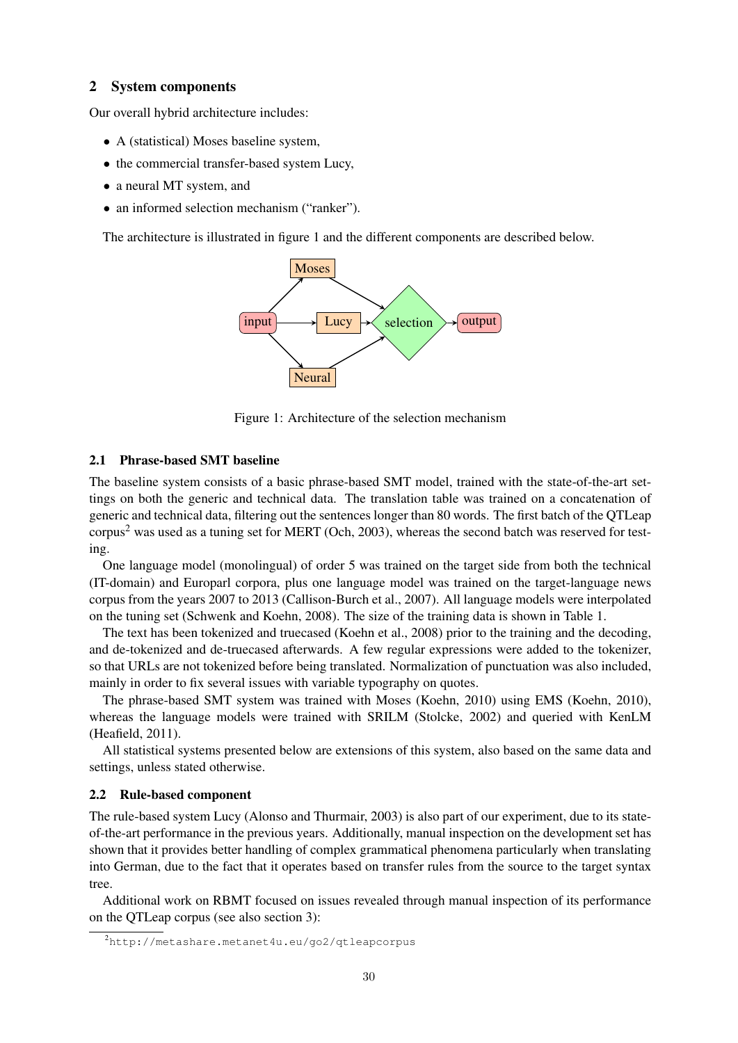### 2 System components

Our overall hybrid architecture includes:

- A (statistical) Moses baseline system,
- the commercial transfer-based system Lucy,
- a neural MT system, and
- an informed selection mechanism ("ranker").

The architecture is illustrated in figure 1 and the different components are described below.



Figure 1: Architecture of the selection mechanism

### 2.1 Phrase-based SMT baseline

The baseline system consists of a basic phrase-based SMT model, trained with the state-of-the-art settings on both the generic and technical data. The translation table was trained on a concatenation of generic and technical data, filtering out the sentences longer than 80 words. The first batch of the QTLeap corpus<sup>2</sup> was used as a tuning set for MERT (Och, 2003), whereas the second batch was reserved for testing.

One language model (monolingual) of order 5 was trained on the target side from both the technical (IT-domain) and Europarl corpora, plus one language model was trained on the target-language news corpus from the years 2007 to 2013 (Callison-Burch et al., 2007). All language models were interpolated on the tuning set (Schwenk and Koehn, 2008). The size of the training data is shown in Table 1.

The text has been tokenized and truecased (Koehn et al., 2008) prior to the training and the decoding, and de-tokenized and de-truecased afterwards. A few regular expressions were added to the tokenizer, so that URLs are not tokenized before being translated. Normalization of punctuation was also included, mainly in order to fix several issues with variable typography on quotes.

The phrase-based SMT system was trained with Moses (Koehn, 2010) using EMS (Koehn, 2010), whereas the language models were trained with SRILM (Stolcke, 2002) and queried with KenLM (Heafield, 2011).

All statistical systems presented below are extensions of this system, also based on the same data and settings, unless stated otherwise.

### 2.2 Rule-based component

The rule-based system Lucy (Alonso and Thurmair, 2003) is also part of our experiment, due to its stateof-the-art performance in the previous years. Additionally, manual inspection on the development set has shown that it provides better handling of complex grammatical phenomena particularly when translating into German, due to the fact that it operates based on transfer rules from the source to the target syntax tree.

Additional work on RBMT focused on issues revealed through manual inspection of its performance on the QTLeap corpus (see also section 3):

<sup>2</sup>http://metashare.metanet4u.eu/go2/qtleapcorpus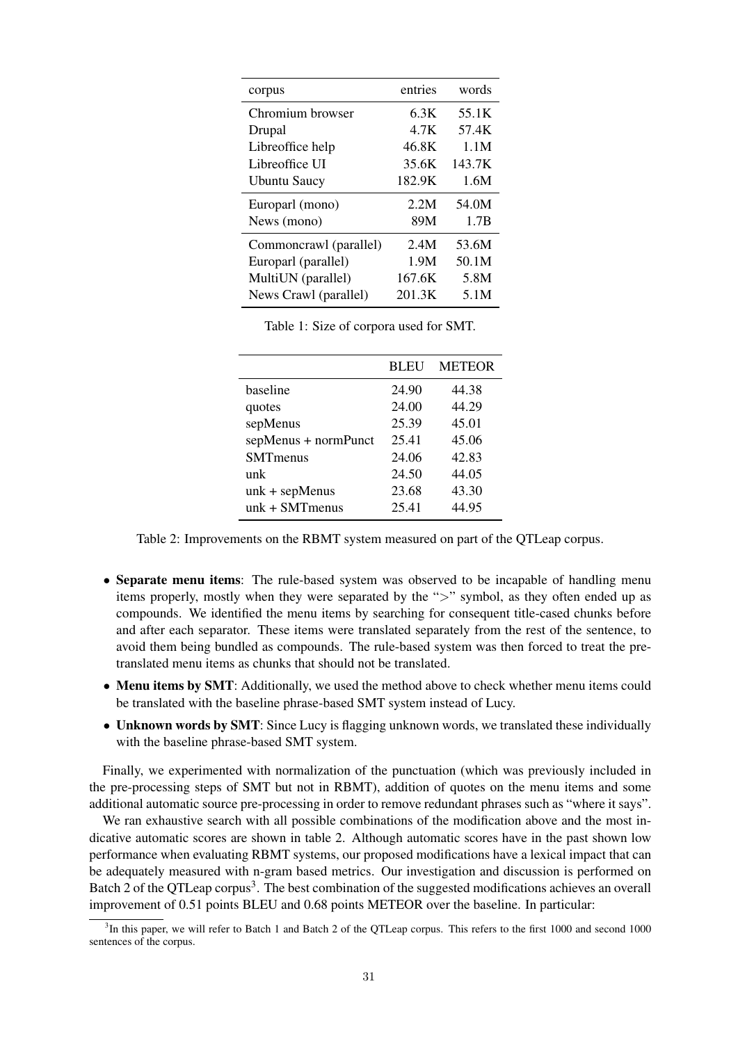| corpus                 | entries | words  |
|------------------------|---------|--------|
| Chromium browser       | 6.3K    | 55.1K  |
| Drupal                 | 4.7K    | 57.4K  |
| Libreoffice help       | 46.8K   | 1.1M   |
| Libreoffice UI         | 35.6K   | 143.7K |
| <b>Ubuntu Saucy</b>    | 182.9K  | 1.6M   |
| Europarl (mono)        | 2.2M    | 54.0M  |
| News (mono)            | 89M     | 1.7B   |
| Commoncrawl (parallel) | 2.4M    | 53.6M  |
| Europarl (parallel)    | 1.9M    | 50.1M  |
| MultiUN (parallel)     | 167.6K  | 5.8M   |
| News Crawl (parallel)  | 201.3K  | 5.1M   |

Table 1: Size of corpora used for SMT.

|                      | <b>BLEU</b> | <b>METEOR</b> |
|----------------------|-------------|---------------|
| baseline             | 24.90       | 44.38         |
| quotes               | 24.00       | 44.29         |
| sepMenus             | 25.39       | 45.01         |
| sepMenus + normPunct | 25.41       | 45.06         |
| <b>SMT</b> menus     | 24.06       | 42.83         |
| unk                  | 24.50       | 44.05         |
| $unk + sep$ Menus    | 23.68       | 43.30         |
| $unk + SMT$ menus    | 25.41       | 44.95         |

Table 2: Improvements on the RBMT system measured on part of the QTLeap corpus.

- Separate menu items: The rule-based system was observed to be incapable of handling menu items properly, mostly when they were separated by the ">" symbol, as they often ended up as compounds. We identified the menu items by searching for consequent title-cased chunks before and after each separator. These items were translated separately from the rest of the sentence, to avoid them being bundled as compounds. The rule-based system was then forced to treat the pretranslated menu items as chunks that should not be translated.
- Menu items by SMT: Additionally, we used the method above to check whether menu items could be translated with the baseline phrase-based SMT system instead of Lucy.
- Unknown words by SMT: Since Lucy is flagging unknown words, we translated these individually with the baseline phrase-based SMT system.

Finally, we experimented with normalization of the punctuation (which was previously included in the pre-processing steps of SMT but not in RBMT), addition of quotes on the menu items and some additional automatic source pre-processing in order to remove redundant phrases such as "where it says".

We ran exhaustive search with all possible combinations of the modification above and the most indicative automatic scores are shown in table 2. Although automatic scores have in the past shown low performance when evaluating RBMT systems, our proposed modifications have a lexical impact that can be adequately measured with n-gram based metrics. Our investigation and discussion is performed on Batch 2 of the QTLeap corpus<sup>3</sup>. The best combination of the suggested modifications achieves an overall improvement of 0.51 points BLEU and 0.68 points METEOR over the baseline. In particular:

<sup>&</sup>lt;sup>3</sup>In this paper, we will refer to Batch 1 and Batch 2 of the QTLeap corpus. This refers to the first 1000 and second 1000 sentences of the corpus.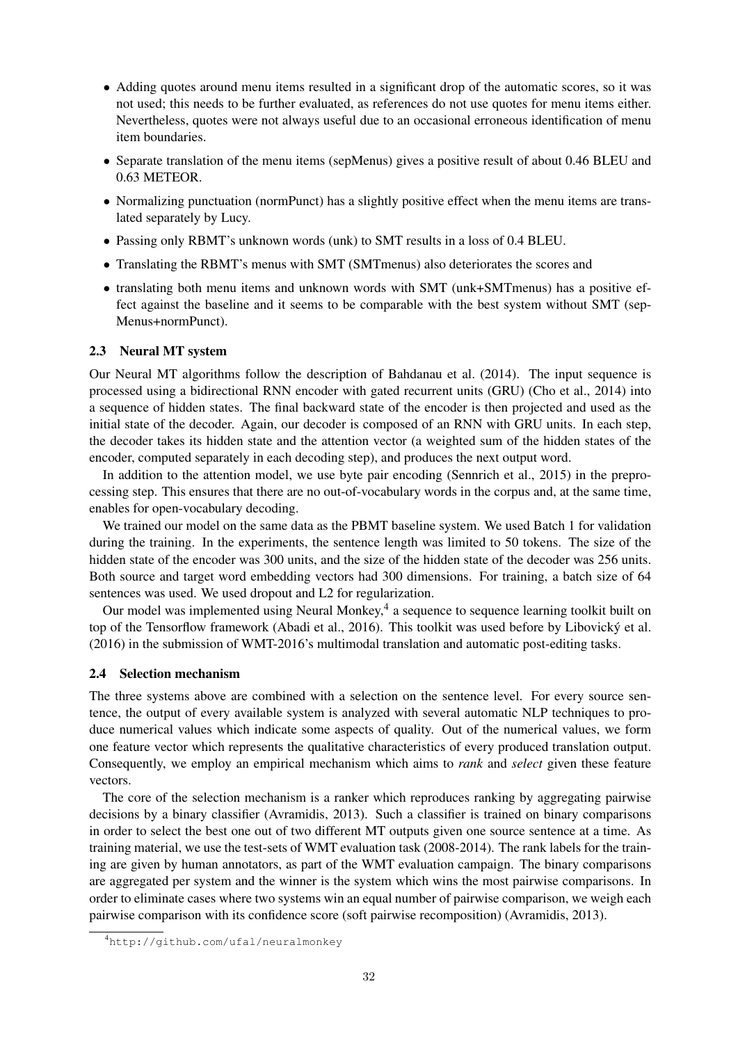- Adding quotes around menu items resulted in a significant drop of the automatic scores, so it was not used; this needs to be further evaluated, as references do not use quotes for menu items either. Nevertheless, quotes were not always useful due to an occasional erroneous identification of menu item boundaries.
- Separate translation of the menu items (sepMenus) gives a positive result of about 0.46 BLEU and 0.63 METEOR.
- Normalizing punctuation (normPunct) has a slightly positive effect when the menu items are translated separately by Lucy.
- Passing only RBMT's unknown words (unk) to SMT results in a loss of 0.4 BLEU.
- Translating the RBMT's menus with SMT (SMTmenus) also deteriorates the scores and
- translating both menu items and unknown words with SMT (unk+SMTmenus) has a positive effect against the baseline and it seems to be comparable with the best system without SMT (sep-Menus+normPunct).

### 2.3 Neural MT system

Our Neural MT algorithms follow the description of Bahdanau et al. (2014). The input sequence is processed using a bidirectional RNN encoder with gated recurrent units (GRU) (Cho et al., 2014) into a sequence of hidden states. The final backward state of the encoder is then projected and used as the initial state of the decoder. Again, our decoder is composed of an RNN with GRU units. In each step, the decoder takes its hidden state and the attention vector (a weighted sum of the hidden states of the encoder, computed separately in each decoding step), and produces the next output word.

In addition to the attention model, we use byte pair encoding (Sennrich et al., 2015) in the preprocessing step. This ensures that there are no out-of-vocabulary words in the corpus and, at the same time, enables for open-vocabulary decoding.

We trained our model on the same data as the PBMT baseline system. We used Batch 1 for validation during the training. In the experiments, the sentence length was limited to 50 tokens. The size of the hidden state of the encoder was 300 units, and the size of the hidden state of the decoder was 256 units. Both source and target word embedding vectors had 300 dimensions. For training, a batch size of 64 sentences was used. We used dropout and L2 for regularization.

Our model was implemented using Neural Monkey,<sup>4</sup> a sequence to sequence learning toolkit built on top of the Tensorflow framework (Abadi et al., 2016). This toolkit was used before by Libovický et al. (2016) in the submission of WMT-2016's multimodal translation and automatic post-editing tasks.

#### 2.4 Selection mechanism

The three systems above are combined with a selection on the sentence level. For every source sentence, the output of every available system is analyzed with several automatic NLP techniques to produce numerical values which indicate some aspects of quality. Out of the numerical values, we form one feature vector which represents the qualitative characteristics of every produced translation output. Consequently, we employ an empirical mechanism which aims to *rank* and *select* given these feature vectors.

The core of the selection mechanism is a ranker which reproduces ranking by aggregating pairwise decisions by a binary classifier (Avramidis, 2013). Such a classifier is trained on binary comparisons in order to select the best one out of two different MT outputs given one source sentence at a time. As training material, we use the test-sets of WMT evaluation task (2008-2014). The rank labels for the training are given by human annotators, as part of the WMT evaluation campaign. The binary comparisons are aggregated per system and the winner is the system which wins the most pairwise comparisons. In order to eliminate cases where two systems win an equal number of pairwise comparison, we weigh each pairwise comparison with its confidence score (soft pairwise recomposition) (Avramidis, 2013).

<sup>4</sup>http://github.com/ufal/neuralmonkey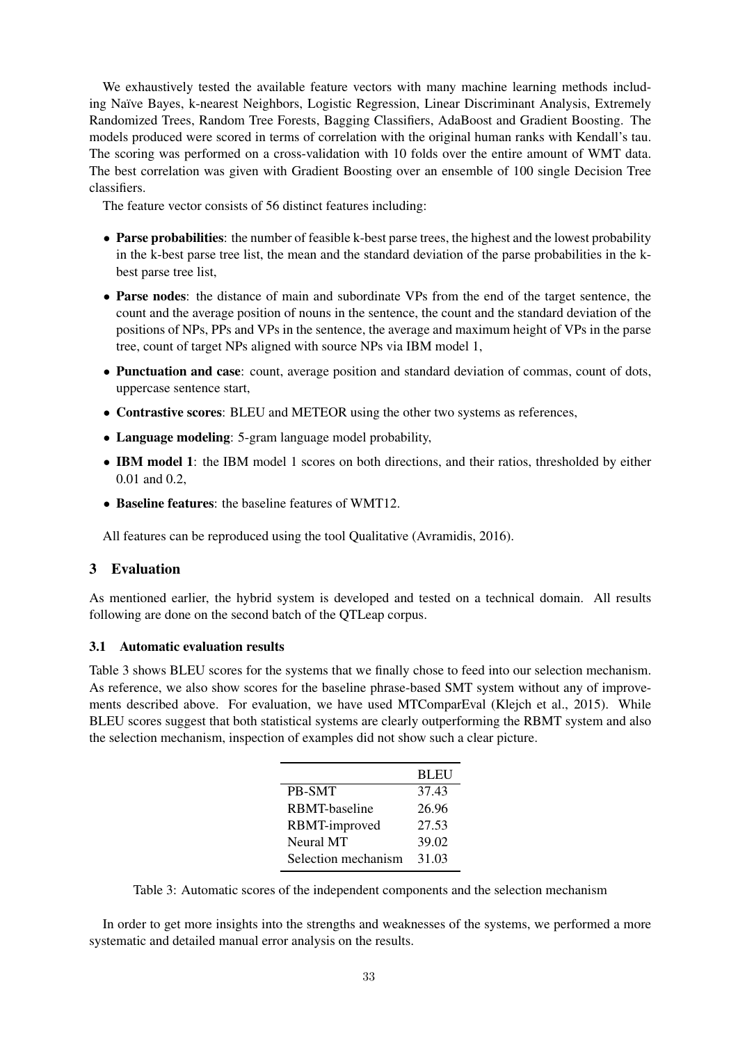We exhaustively tested the available feature vectors with many machine learning methods including Naïve Bayes, k-nearest Neighbors, Logistic Regression, Linear Discriminant Analysis, Extremely Randomized Trees, Random Tree Forests, Bagging Classifiers, AdaBoost and Gradient Boosting. The models produced were scored in terms of correlation with the original human ranks with Kendall's tau. The scoring was performed on a cross-validation with 10 folds over the entire amount of WMT data. The best correlation was given with Gradient Boosting over an ensemble of 100 single Decision Tree classifiers.

The feature vector consists of 56 distinct features including:

- Parse probabilities: the number of feasible k-best parse trees, the highest and the lowest probability in the k-best parse tree list, the mean and the standard deviation of the parse probabilities in the kbest parse tree list,
- Parse nodes: the distance of main and subordinate VPs from the end of the target sentence, the count and the average position of nouns in the sentence, the count and the standard deviation of the positions of NPs, PPs and VPs in the sentence, the average and maximum height of VPs in the parse tree, count of target NPs aligned with source NPs via IBM model 1,
- Punctuation and case: count, average position and standard deviation of commas, count of dots, uppercase sentence start,
- Contrastive scores: BLEU and METEOR using the other two systems as references,
- Language modeling: 5-gram language model probability,
- **IBM model 1:** the IBM model 1 scores on both directions, and their ratios, thresholded by either 0.01 and 0.2,
- Baseline features: the baseline features of WMT12.

All features can be reproduced using the tool Qualitative (Avramidis, 2016).

# 3 Evaluation

As mentioned earlier, the hybrid system is developed and tested on a technical domain. All results following are done on the second batch of the QTLeap corpus.

### 3.1 Automatic evaluation results

Table 3 shows BLEU scores for the systems that we finally chose to feed into our selection mechanism. As reference, we also show scores for the baseline phrase-based SMT system without any of improvements described above. For evaluation, we have used MTComparEval (Klejch et al., 2015). While BLEU scores suggest that both statistical systems are clearly outperforming the RBMT system and also the selection mechanism, inspection of examples did not show such a clear picture.

|                     | <b>BLEU</b> |
|---------------------|-------------|
| <b>PB-SMT</b>       | 37.43       |
| RBMT-baseline       | 26.96       |
| RBMT-improved       | 27.53       |
| Neural MT           | 39.02       |
| Selection mechanism | 31.03       |

Table 3: Automatic scores of the independent components and the selection mechanism

In order to get more insights into the strengths and weaknesses of the systems, we performed a more systematic and detailed manual error analysis on the results.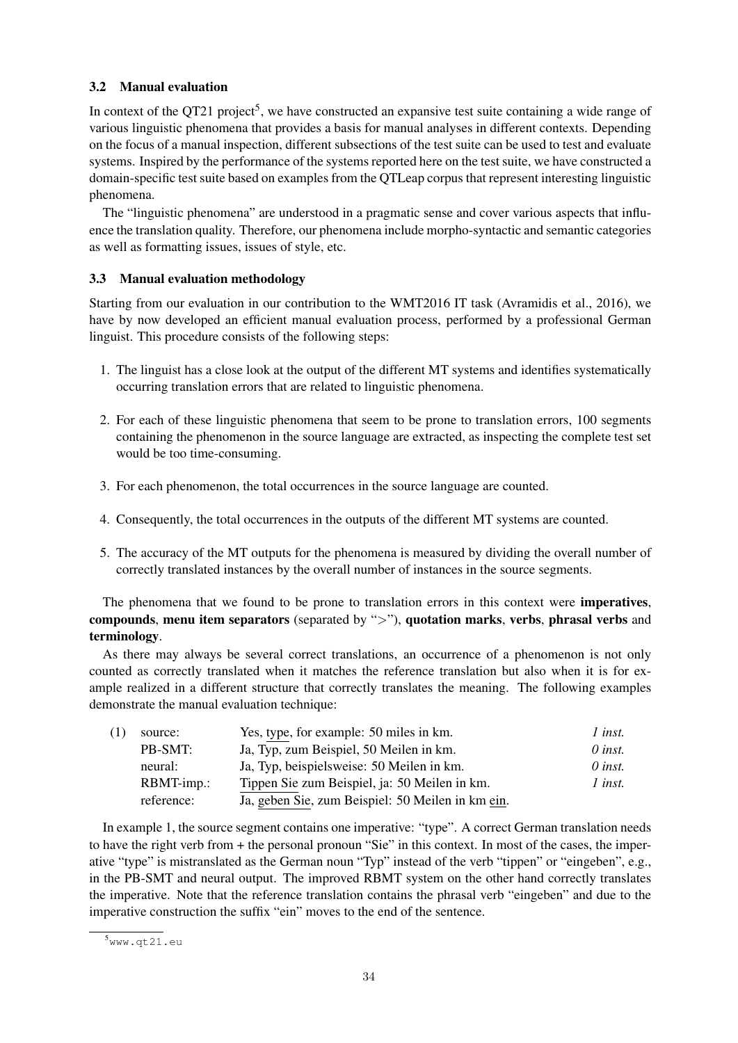## 3.2 Manual evaluation

In context of the QT21 project<sup>5</sup>, we have constructed an expansive test suite containing a wide range of various linguistic phenomena that provides a basis for manual analyses in different contexts. Depending on the focus of a manual inspection, different subsections of the test suite can be used to test and evaluate systems. Inspired by the performance of the systems reported here on the test suite, we have constructed a domain-specific test suite based on examples from the QTLeap corpus that represent interesting linguistic phenomena.

The "linguistic phenomena" are understood in a pragmatic sense and cover various aspects that influence the translation quality. Therefore, our phenomena include morpho-syntactic and semantic categories as well as formatting issues, issues of style, etc.

## 3.3 Manual evaluation methodology

Starting from our evaluation in our contribution to the WMT2016 IT task (Avramidis et al., 2016), we have by now developed an efficient manual evaluation process, performed by a professional German linguist. This procedure consists of the following steps:

- 1. The linguist has a close look at the output of the different MT systems and identifies systematically occurring translation errors that are related to linguistic phenomena.
- 2. For each of these linguistic phenomena that seem to be prone to translation errors, 100 segments containing the phenomenon in the source language are extracted, as inspecting the complete test set would be too time-consuming.
- 3. For each phenomenon, the total occurrences in the source language are counted.
- 4. Consequently, the total occurrences in the outputs of the different MT systems are counted.
- 5. The accuracy of the MT outputs for the phenomena is measured by dividing the overall number of correctly translated instances by the overall number of instances in the source segments.

The phenomena that we found to be prone to translation errors in this context were imperatives, compounds, menu item separators (separated by ">"), quotation marks, verbs, phrasal verbs and terminology.

As there may always be several correct translations, an occurrence of a phenomenon is not only counted as correctly translated when it matches the reference translation but also when it is for example realized in a different structure that correctly translates the meaning. The following examples demonstrate the manual evaluation technique:

| (1) | source:    | Yes, type, for example: 50 miles in km.           | 1 inst.        |
|-----|------------|---------------------------------------------------|----------------|
|     | PB-SMT:    | Ja, Typ, zum Beispiel, 50 Meilen in km.           | $\theta$ inst. |
|     | neural:    | Ja, Typ, beispielsweise: 50 Meilen in km.         | $\theta$ inst. |
|     | RBMT-imp.: | Tippen Sie zum Beispiel, ja: 50 Meilen in km.     | 1 inst.        |
|     | reference: | Ja, geben Sie, zum Beispiel: 50 Meilen in km ein. |                |

In example 1, the source segment contains one imperative: "type". A correct German translation needs to have the right verb from + the personal pronoun "Sie" in this context. In most of the cases, the imperative "type" is mistranslated as the German noun "Typ" instead of the verb "tippen" or "eingeben", e.g., in the PB-SMT and neural output. The improved RBMT system on the other hand correctly translates the imperative. Note that the reference translation contains the phrasal verb "eingeben" and due to the imperative construction the suffix "ein" moves to the end of the sentence.

<sup>5</sup>www.qt21.eu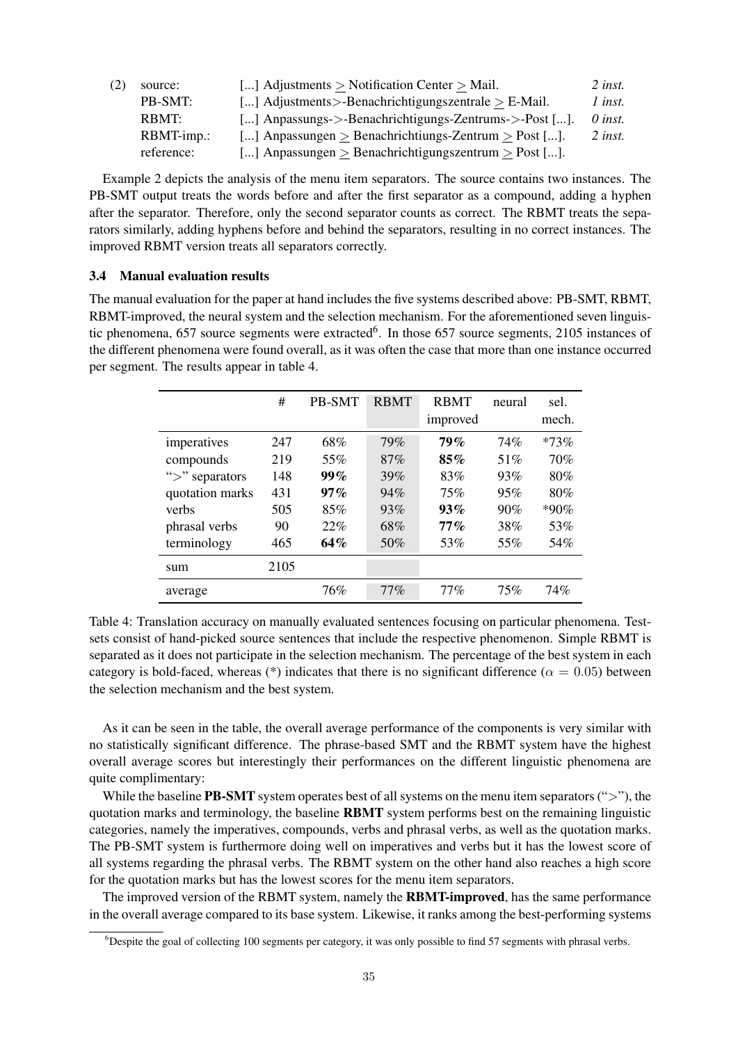| source:    | [] Adjustments > Notification Center > Mail.             | $2$ inst.      |
|------------|----------------------------------------------------------|----------------|
| PB-SMT:    | [] Adjustments>-Benachrichtigungszentrale > E-Mail.      | 1 inst.        |
| RBMT:      | [] Anpassungs->-Benachrichtigungs-Zentrums->-Post [].    | $\theta$ inst. |
| RBMT-imp.: | [] Anpassungen $>$ Benachrichtiungs-Zentrum $>$ Post []. | $2$ inst.      |
| reference: | [] Anpassungen $>$ Benachrichtigungszentrum $>$ Post []. |                |
|            |                                                          |                |

Example 2 depicts the analysis of the menu item separators. The source contains two instances. The PB-SMT output treats the words before and after the first separator as a compound, adding a hyphen after the separator. Therefore, only the second separator counts as correct. The RBMT treats the separators similarly, adding hyphens before and behind the separators, resulting in no correct instances. The improved RBMT version treats all separators correctly.

### 3.4 Manual evaluation results

The manual evaluation for the paper at hand includes the five systems described above: PB-SMT, RBMT, RBMT-improved, the neural system and the selection mechanism. For the aforementioned seven linguistic phenomena, 657 source segments were extracted<sup>6</sup>. In those 657 source segments, 2105 instances of the different phenomena were found overall, as it was often the case that more than one instance occurred per segment. The results appear in table 4.

|                 | #    | <b>PB-SMT</b> | <b>RBMT</b> | <b>RBMT</b><br>improved | neural | sel.<br>mech. |
|-----------------|------|---------------|-------------|-------------------------|--------|---------------|
| imperatives     | 247  | 68%           | 79%         | 79%                     | 74%    | $*73%$        |
| compounds       | 219  | 55%           | 87%         | 85%                     | 51%    | 70%           |
| ">" separators  | 148  | $99\%$        | 39%         | 83%                     | 93%    | 80%           |
| quotation marks | 431  | $97\%$        | 94%         | 75%                     | 95%    | 80%           |
| verbs           | 505  | 85%           | 93%         | $93\%$                  | 90%    | $*90\%$       |
| phrasal verbs   | 90   | 22%           | 68%         | $77\%$                  | 38%    | 53%           |
| terminology     | 465  | 64%           | 50%         | 53%                     | 55%    | 54%           |
| sum             | 2105 |               |             |                         |        |               |
| average         |      | 76%           | $77\%$      | $77\%$                  | 75%    | 74%           |

Table 4: Translation accuracy on manually evaluated sentences focusing on particular phenomena. Testsets consist of hand-picked source sentences that include the respective phenomenon. Simple RBMT is separated as it does not participate in the selection mechanism. The percentage of the best system in each category is bold-faced, whereas (\*) indicates that there is no significant difference ( $\alpha = 0.05$ ) between the selection mechanism and the best system.

As it can be seen in the table, the overall average performance of the components is very similar with no statistically significant difference. The phrase-based SMT and the RBMT system have the highest overall average scores but interestingly their performances on the different linguistic phenomena are quite complimentary:

While the baseline **PB-SMT** system operates best of all systems on the menu item separators  $(\degree > \degree)$ , the quotation marks and terminology, the baseline RBMT system performs best on the remaining linguistic categories, namely the imperatives, compounds, verbs and phrasal verbs, as well as the quotation marks. The PB-SMT system is furthermore doing well on imperatives and verbs but it has the lowest score of all systems regarding the phrasal verbs. The RBMT system on the other hand also reaches a high score for the quotation marks but has the lowest scores for the menu item separators.

The improved version of the RBMT system, namely the **RBMT-improved**, has the same performance in the overall average compared to its base system. Likewise, it ranks among the best-performing systems

<sup>6</sup>Despite the goal of collecting 100 segments per category, it was only possible to find 57 segments with phrasal verbs.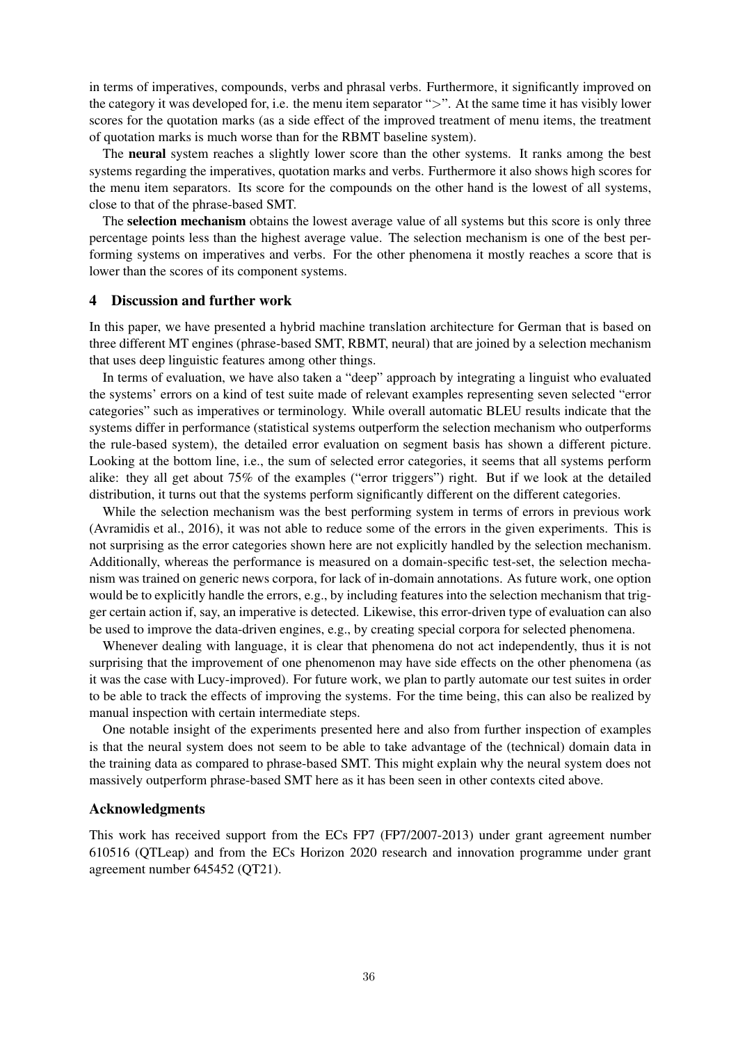in terms of imperatives, compounds, verbs and phrasal verbs. Furthermore, it significantly improved on the category it was developed for, i.e. the menu item separator ">". At the same time it has visibly lower scores for the quotation marks (as a side effect of the improved treatment of menu items, the treatment of quotation marks is much worse than for the RBMT baseline system).

The neural system reaches a slightly lower score than the other systems. It ranks among the best systems regarding the imperatives, quotation marks and verbs. Furthermore it also shows high scores for the menu item separators. Its score for the compounds on the other hand is the lowest of all systems, close to that of the phrase-based SMT.

The **selection mechanism** obtains the lowest average value of all systems but this score is only three percentage points less than the highest average value. The selection mechanism is one of the best performing systems on imperatives and verbs. For the other phenomena it mostly reaches a score that is lower than the scores of its component systems.

### 4 Discussion and further work

In this paper, we have presented a hybrid machine translation architecture for German that is based on three different MT engines (phrase-based SMT, RBMT, neural) that are joined by a selection mechanism that uses deep linguistic features among other things.

In terms of evaluation, we have also taken a "deep" approach by integrating a linguist who evaluated the systems' errors on a kind of test suite made of relevant examples representing seven selected "error categories" such as imperatives or terminology. While overall automatic BLEU results indicate that the systems differ in performance (statistical systems outperform the selection mechanism who outperforms the rule-based system), the detailed error evaluation on segment basis has shown a different picture. Looking at the bottom line, i.e., the sum of selected error categories, it seems that all systems perform alike: they all get about 75% of the examples ("error triggers") right. But if we look at the detailed distribution, it turns out that the systems perform significantly different on the different categories.

While the selection mechanism was the best performing system in terms of errors in previous work (Avramidis et al., 2016), it was not able to reduce some of the errors in the given experiments. This is not surprising as the error categories shown here are not explicitly handled by the selection mechanism. Additionally, whereas the performance is measured on a domain-specific test-set, the selection mechanism was trained on generic news corpora, for lack of in-domain annotations. As future work, one option would be to explicitly handle the errors, e.g., by including features into the selection mechanism that trigger certain action if, say, an imperative is detected. Likewise, this error-driven type of evaluation can also be used to improve the data-driven engines, e.g., by creating special corpora for selected phenomena.

Whenever dealing with language, it is clear that phenomena do not act independently, thus it is not surprising that the improvement of one phenomenon may have side effects on the other phenomena (as it was the case with Lucy-improved). For future work, we plan to partly automate our test suites in order to be able to track the effects of improving the systems. For the time being, this can also be realized by manual inspection with certain intermediate steps.

One notable insight of the experiments presented here and also from further inspection of examples is that the neural system does not seem to be able to take advantage of the (technical) domain data in the training data as compared to phrase-based SMT. This might explain why the neural system does not massively outperform phrase-based SMT here as it has been seen in other contexts cited above.

### Acknowledgments

This work has received support from the ECs FP7 (FP7/2007-2013) under grant agreement number 610516 (QTLeap) and from the ECs Horizon 2020 research and innovation programme under grant agreement number 645452 (QT21).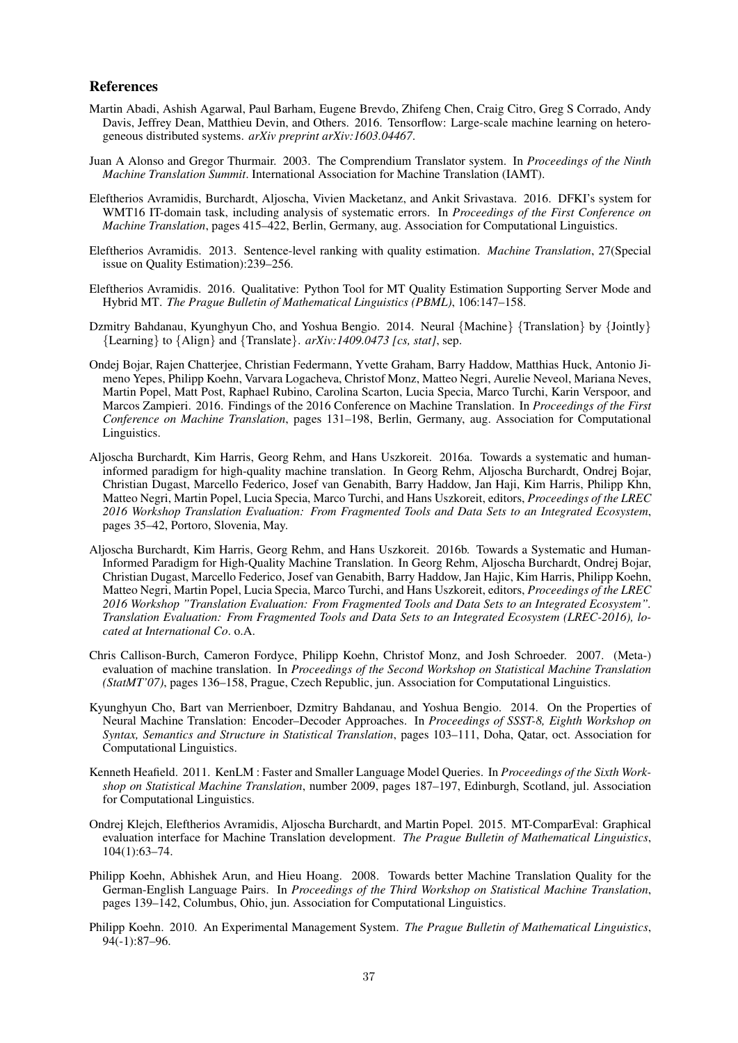#### References

- Martin Abadi, Ashish Agarwal, Paul Barham, Eugene Brevdo, Zhifeng Chen, Craig Citro, Greg S Corrado, Andy Davis, Jeffrey Dean, Matthieu Devin, and Others. 2016. Tensorflow: Large-scale machine learning on heterogeneous distributed systems. *arXiv preprint arXiv:1603.04467*.
- Juan A Alonso and Gregor Thurmair. 2003. The Comprendium Translator system. In *Proceedings of the Ninth Machine Translation Summit*. International Association for Machine Translation (IAMT).
- Eleftherios Avramidis, Burchardt, Aljoscha, Vivien Macketanz, and Ankit Srivastava. 2016. DFKI's system for WMT16 IT-domain task, including analysis of systematic errors. In *Proceedings of the First Conference on Machine Translation*, pages 415–422, Berlin, Germany, aug. Association for Computational Linguistics.
- Eleftherios Avramidis. 2013. Sentence-level ranking with quality estimation. *Machine Translation*, 27(Special issue on Quality Estimation):239–256.
- Eleftherios Avramidis. 2016. Qualitative: Python Tool for MT Quality Estimation Supporting Server Mode and Hybrid MT. *The Prague Bulletin of Mathematical Linguistics (PBML)*, 106:147–158.
- Dzmitry Bahdanau, Kyunghyun Cho, and Yoshua Bengio. 2014. Neural {Machine} {Translation} by {Jointly} {Learning} to {Align} and {Translate}. *arXiv:1409.0473 [cs, stat]*, sep.
- Ondej Bojar, Rajen Chatterjee, Christian Federmann, Yvette Graham, Barry Haddow, Matthias Huck, Antonio Jimeno Yepes, Philipp Koehn, Varvara Logacheva, Christof Monz, Matteo Negri, Aurelie Neveol, Mariana Neves, Martin Popel, Matt Post, Raphael Rubino, Carolina Scarton, Lucia Specia, Marco Turchi, Karin Verspoor, and Marcos Zampieri. 2016. Findings of the 2016 Conference on Machine Translation. In *Proceedings of the First Conference on Machine Translation*, pages 131–198, Berlin, Germany, aug. Association for Computational Linguistics.
- Aljoscha Burchardt, Kim Harris, Georg Rehm, and Hans Uszkoreit. 2016a. Towards a systematic and humaninformed paradigm for high-quality machine translation. In Georg Rehm, Aljoscha Burchardt, Ondrej Bojar, Christian Dugast, Marcello Federico, Josef van Genabith, Barry Haddow, Jan Haji, Kim Harris, Philipp Khn, Matteo Negri, Martin Popel, Lucia Specia, Marco Turchi, and Hans Uszkoreit, editors, *Proceedings of the LREC 2016 Workshop Translation Evaluation: From Fragmented Tools and Data Sets to an Integrated Ecosystem*, pages 35–42, Portoro, Slovenia, May.
- Aljoscha Burchardt, Kim Harris, Georg Rehm, and Hans Uszkoreit. 2016b. Towards a Systematic and Human-Informed Paradigm for High-Quality Machine Translation. In Georg Rehm, Aljoscha Burchardt, Ondrej Bojar, Christian Dugast, Marcello Federico, Josef van Genabith, Barry Haddow, Jan Hajic, Kim Harris, Philipp Koehn, Matteo Negri, Martin Popel, Lucia Specia, Marco Turchi, and Hans Uszkoreit, editors, *Proceedings of the LREC 2016 Workshop "Translation Evaluation: From Fragmented Tools and Data Sets to an Integrated Ecosystem". Translation Evaluation: From Fragmented Tools and Data Sets to an Integrated Ecosystem (LREC-2016), located at International Co*. o.A.
- Chris Callison-Burch, Cameron Fordyce, Philipp Koehn, Christof Monz, and Josh Schroeder. 2007. (Meta-) evaluation of machine translation. In *Proceedings of the Second Workshop on Statistical Machine Translation (StatMT'07)*, pages 136–158, Prague, Czech Republic, jun. Association for Computational Linguistics.
- Kyunghyun Cho, Bart van Merrienboer, Dzmitry Bahdanau, and Yoshua Bengio. 2014. On the Properties of Neural Machine Translation: Encoder–Decoder Approaches. In *Proceedings of SSST-8, Eighth Workshop on Syntax, Semantics and Structure in Statistical Translation*, pages 103–111, Doha, Qatar, oct. Association for Computational Linguistics.
- Kenneth Heafield. 2011. KenLM : Faster and Smaller Language Model Queries. In *Proceedings of the Sixth Workshop on Statistical Machine Translation*, number 2009, pages 187–197, Edinburgh, Scotland, jul. Association for Computational Linguistics.
- Ondrej Klejch, Eleftherios Avramidis, Aljoscha Burchardt, and Martin Popel. 2015. MT-ComparEval: Graphical evaluation interface for Machine Translation development. *The Prague Bulletin of Mathematical Linguistics*, 104(1):63–74.
- Philipp Koehn, Abhishek Arun, and Hieu Hoang. 2008. Towards better Machine Translation Quality for the German-English Language Pairs. In *Proceedings of the Third Workshop on Statistical Machine Translation*, pages 139–142, Columbus, Ohio, jun. Association for Computational Linguistics.
- Philipp Koehn. 2010. An Experimental Management System. *The Prague Bulletin of Mathematical Linguistics*, 94(-1):87–96.